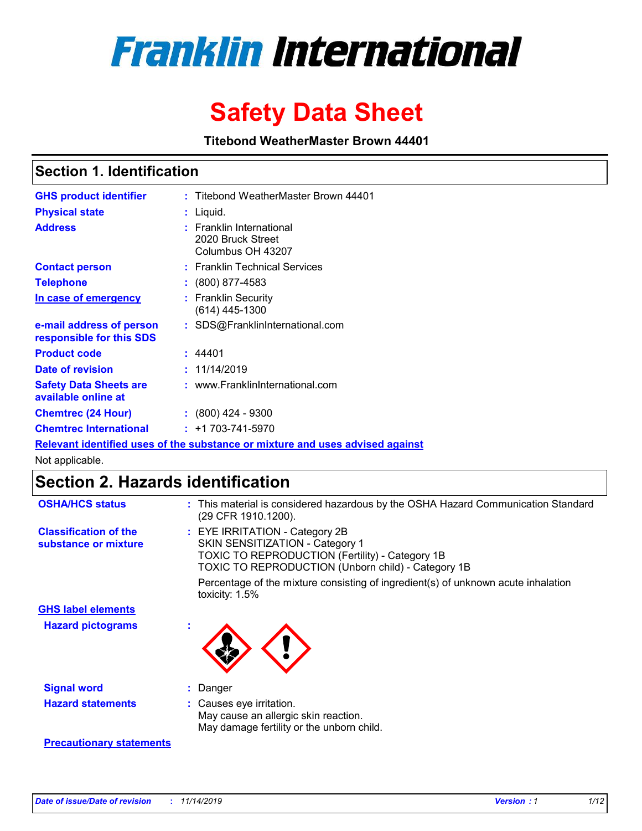

# **Safety Data Sheet**

**Titebond WeatherMaster Brown 44401**

### **Section 1. Identification**

| <b>GHS product identifier</b>                        | : Titebond WeatherMaster Brown 44401                                          |
|------------------------------------------------------|-------------------------------------------------------------------------------|
| <b>Physical state</b>                                | : Liquid.                                                                     |
| <b>Address</b>                                       | : Franklin International<br>2020 Bruck Street<br>Columbus OH 43207            |
| <b>Contact person</b>                                | : Franklin Technical Services                                                 |
| <b>Telephone</b>                                     | $\div$ (800) 877-4583                                                         |
| In case of emergency                                 | : Franklin Security<br>(614) 445-1300                                         |
| e-mail address of person<br>responsible for this SDS | : SDS@FranklinInternational.com                                               |
| <b>Product code</b>                                  | : 44401                                                                       |
| Date of revision                                     | : 11/14/2019                                                                  |
| <b>Safety Data Sheets are</b><br>available online at | : www.FranklinInternational.com                                               |
| <b>Chemtrec (24 Hour)</b>                            | $: (800)$ 424 - 9300                                                          |
| <b>Chemtrec International</b>                        | $: +1703 - 741 - 5970$                                                        |
|                                                      | Relevant identified uses of the substance or mixture and uses advised against |

Not applicable.

## **Section 2. Hazards identification**

| <b>OSHA/HCS status</b>                               | : This material is considered hazardous by the OSHA Hazard Communication Standard<br>(29 CFR 1910.1200).                                                                          |
|------------------------------------------------------|-----------------------------------------------------------------------------------------------------------------------------------------------------------------------------------|
| <b>Classification of the</b><br>substance or mixture | : EYE IRRITATION - Category 2B<br>SKIN SENSITIZATION - Category 1<br><b>TOXIC TO REPRODUCTION (Fertility) - Category 1B</b><br>TOXIC TO REPRODUCTION (Unborn child) - Category 1B |
|                                                      | Percentage of the mixture consisting of ingredient(s) of unknown acute inhalation<br>toxicity: $1.5\%$                                                                            |
| <b>GHS label elements</b>                            |                                                                                                                                                                                   |
| <b>Hazard pictograms</b>                             |                                                                                                                                                                                   |
| <b>Signal word</b>                                   | : Danger                                                                                                                                                                          |
| <b>Hazard statements</b>                             | : Causes eye irritation.<br>May cause an allergic skin reaction.<br>May damage fertility or the unborn child.                                                                     |
| <b>Precautionary statements</b>                      |                                                                                                                                                                                   |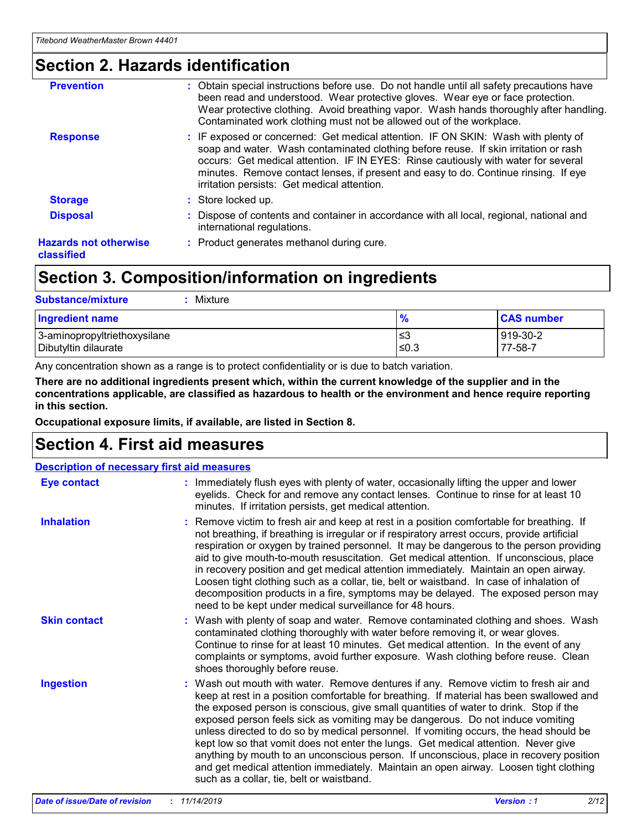## **Section 2. Hazards identification**

| <b>Prevention</b>                          | : Obtain special instructions before use. Do not handle until all safety precautions have<br>been read and understood. Wear protective gloves. Wear eye or face protection.<br>Wear protective clothing. Avoid breathing vapor. Wash hands thoroughly after handling.<br>Contaminated work clothing must not be allowed out of the workplace.                                                        |
|--------------------------------------------|------------------------------------------------------------------------------------------------------------------------------------------------------------------------------------------------------------------------------------------------------------------------------------------------------------------------------------------------------------------------------------------------------|
| <b>Response</b>                            | : IF exposed or concerned: Get medical attention. IF ON SKIN: Wash with plenty of<br>soap and water. Wash contaminated clothing before reuse. If skin irritation or rash<br>occurs: Get medical attention. IF IN EYES: Rinse cautiously with water for several<br>minutes. Remove contact lenses, if present and easy to do. Continue rinsing. If eye<br>irritation persists: Get medical attention. |
| <b>Storage</b>                             | : Store locked up.                                                                                                                                                                                                                                                                                                                                                                                   |
| <b>Disposal</b>                            | : Dispose of contents and container in accordance with all local, regional, national and<br>international regulations.                                                                                                                                                                                                                                                                               |
| <b>Hazards not otherwise</b><br>classified | : Product generates methanol during cure.                                                                                                                                                                                                                                                                                                                                                            |

## **Section 3. Composition/information on ingredients**

| <b>Substance/mixture</b><br>: Mixture                |                   |                     |
|------------------------------------------------------|-------------------|---------------------|
| Ingredient name                                      | $\frac{9}{6}$     | <b>CAS number</b>   |
| 3-aminopropyltriethoxysilane<br>Dibutyltin dilaurate | ∣≤3<br>$\leq 0.3$ | 919-30-2<br>77-58-7 |

Any concentration shown as a range is to protect confidentiality or is due to batch variation.

**There are no additional ingredients present which, within the current knowledge of the supplier and in the concentrations applicable, are classified as hazardous to health or the environment and hence require reporting in this section.**

**Occupational exposure limits, if available, are listed in Section 8.**

### **Section 4. First aid measures**

| <b>Description of necessary first aid measures</b> |                                                                                                                                                                                                                                                                                                                                                                                                                                                                                                                                                                                                                                                                                                                                                                           |  |  |  |
|----------------------------------------------------|---------------------------------------------------------------------------------------------------------------------------------------------------------------------------------------------------------------------------------------------------------------------------------------------------------------------------------------------------------------------------------------------------------------------------------------------------------------------------------------------------------------------------------------------------------------------------------------------------------------------------------------------------------------------------------------------------------------------------------------------------------------------------|--|--|--|
| <b>Eye contact</b>                                 | : Immediately flush eyes with plenty of water, occasionally lifting the upper and lower<br>eyelids. Check for and remove any contact lenses. Continue to rinse for at least 10<br>minutes. If irritation persists, get medical attention.                                                                                                                                                                                                                                                                                                                                                                                                                                                                                                                                 |  |  |  |
| <b>Inhalation</b>                                  | : Remove victim to fresh air and keep at rest in a position comfortable for breathing. If<br>not breathing, if breathing is irregular or if respiratory arrest occurs, provide artificial<br>respiration or oxygen by trained personnel. It may be dangerous to the person providing<br>aid to give mouth-to-mouth resuscitation. Get medical attention. If unconscious, place<br>in recovery position and get medical attention immediately. Maintain an open airway.<br>Loosen tight clothing such as a collar, tie, belt or waistband. In case of inhalation of<br>decomposition products in a fire, symptoms may be delayed. The exposed person may<br>need to be kept under medical surveillance for 48 hours.                                                       |  |  |  |
| <b>Skin contact</b>                                | : Wash with plenty of soap and water. Remove contaminated clothing and shoes. Wash<br>contaminated clothing thoroughly with water before removing it, or wear gloves.<br>Continue to rinse for at least 10 minutes. Get medical attention. In the event of any<br>complaints or symptoms, avoid further exposure. Wash clothing before reuse. Clean<br>shoes thoroughly before reuse.                                                                                                                                                                                                                                                                                                                                                                                     |  |  |  |
| <b>Ingestion</b>                                   | : Wash out mouth with water. Remove dentures if any. Remove victim to fresh air and<br>keep at rest in a position comfortable for breathing. If material has been swallowed and<br>the exposed person is conscious, give small quantities of water to drink. Stop if the<br>exposed person feels sick as vomiting may be dangerous. Do not induce vomiting<br>unless directed to do so by medical personnel. If vomiting occurs, the head should be<br>kept low so that vomit does not enter the lungs. Get medical attention. Never give<br>anything by mouth to an unconscious person. If unconscious, place in recovery position<br>and get medical attention immediately. Maintain an open airway. Loosen tight clothing<br>such as a collar, tie, belt or waistband. |  |  |  |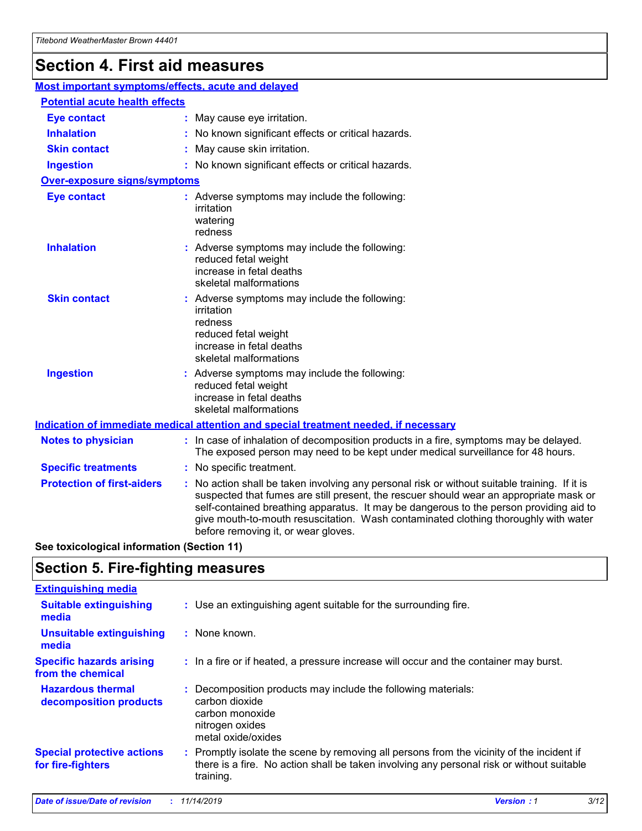## **Section 4. First aid measures**

| Most important symptoms/effects, acute and delayed |  |                                                                                                                                                                                                                                                                                                                                                                                                                 |  |  |
|----------------------------------------------------|--|-----------------------------------------------------------------------------------------------------------------------------------------------------------------------------------------------------------------------------------------------------------------------------------------------------------------------------------------------------------------------------------------------------------------|--|--|
| <b>Potential acute health effects</b>              |  |                                                                                                                                                                                                                                                                                                                                                                                                                 |  |  |
| Eye contact                                        |  | : May cause eye irritation.                                                                                                                                                                                                                                                                                                                                                                                     |  |  |
| <b>Inhalation</b>                                  |  | : No known significant effects or critical hazards.                                                                                                                                                                                                                                                                                                                                                             |  |  |
| <b>Skin contact</b>                                |  | : May cause skin irritation.                                                                                                                                                                                                                                                                                                                                                                                    |  |  |
| <b>Ingestion</b>                                   |  | : No known significant effects or critical hazards.                                                                                                                                                                                                                                                                                                                                                             |  |  |
| Over-exposure signs/symptoms                       |  |                                                                                                                                                                                                                                                                                                                                                                                                                 |  |  |
| <b>Eye contact</b>                                 |  | : Adverse symptoms may include the following:<br>irritation<br>watering<br>redness                                                                                                                                                                                                                                                                                                                              |  |  |
| <b>Inhalation</b>                                  |  | : Adverse symptoms may include the following:<br>reduced fetal weight<br>increase in fetal deaths<br>skeletal malformations                                                                                                                                                                                                                                                                                     |  |  |
| <b>Skin contact</b>                                |  | : Adverse symptoms may include the following:<br>irritation<br>redness<br>reduced fetal weight<br>increase in fetal deaths<br>skeletal malformations                                                                                                                                                                                                                                                            |  |  |
| <b>Ingestion</b>                                   |  | : Adverse symptoms may include the following:<br>reduced fetal weight<br>increase in fetal deaths<br>skeletal malformations                                                                                                                                                                                                                                                                                     |  |  |
|                                                    |  | <b>Indication of immediate medical attention and special treatment needed, if necessary</b>                                                                                                                                                                                                                                                                                                                     |  |  |
| <b>Notes to physician</b>                          |  | : In case of inhalation of decomposition products in a fire, symptoms may be delayed.<br>The exposed person may need to be kept under medical surveillance for 48 hours.                                                                                                                                                                                                                                        |  |  |
| <b>Specific treatments</b>                         |  | : No specific treatment.                                                                                                                                                                                                                                                                                                                                                                                        |  |  |
| <b>Protection of first-aiders</b>                  |  | : No action shall be taken involving any personal risk or without suitable training. If it is<br>suspected that fumes are still present, the rescuer should wear an appropriate mask or<br>self-contained breathing apparatus. It may be dangerous to the person providing aid to<br>give mouth-to-mouth resuscitation. Wash contaminated clothing thoroughly with water<br>before removing it, or wear gloves. |  |  |

**See toxicological information (Section 11)**

### **Section 5. Fire-fighting measures**

| <b>Extinguishing media</b>                             |                                                                                                                                                                                                     |
|--------------------------------------------------------|-----------------------------------------------------------------------------------------------------------------------------------------------------------------------------------------------------|
| <b>Suitable extinguishing</b><br>media                 | : Use an extinguishing agent suitable for the surrounding fire.                                                                                                                                     |
| <b>Unsuitable extinguishing</b><br>media               | $:$ None known.                                                                                                                                                                                     |
| <b>Specific hazards arising</b><br>from the chemical   | : In a fire or if heated, a pressure increase will occur and the container may burst.                                                                                                               |
| <b>Hazardous thermal</b><br>decomposition products     | : Decomposition products may include the following materials:<br>carbon dioxide<br>carbon monoxide<br>nitrogen oxides<br>metal oxide/oxides                                                         |
| <b>Special protective actions</b><br>for fire-fighters | : Promptly isolate the scene by removing all persons from the vicinity of the incident if<br>there is a fire. No action shall be taken involving any personal risk or without suitable<br>training. |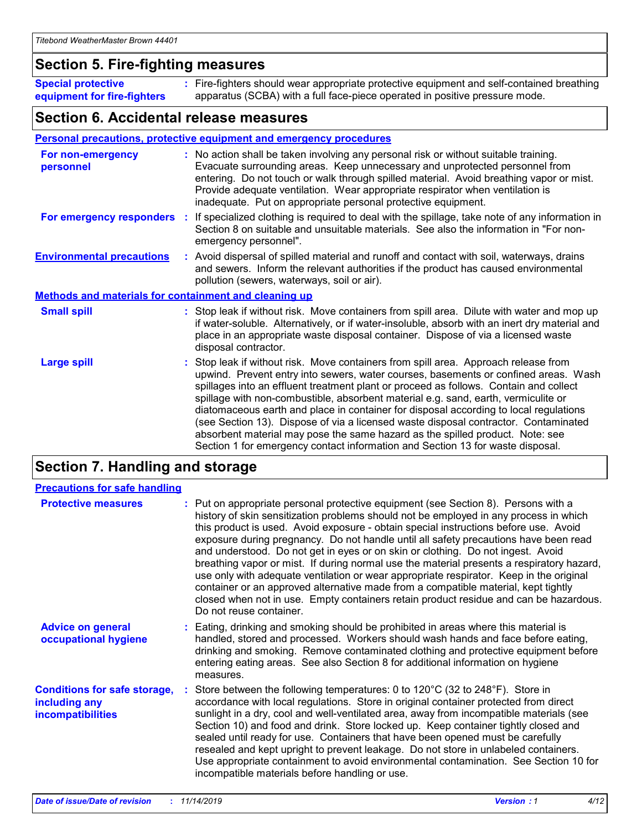### **Section 5. Fire-fighting measures**

**Special protective equipment for fire-fighters** Fire-fighters should wear appropriate protective equipment and self-contained breathing **:** apparatus (SCBA) with a full face-piece operated in positive pressure mode.

### **Section 6. Accidental release measures**

### **Personal precautions, protective equipment and emergency procedures**

| For non-emergency<br>personnel                               |  | : No action shall be taken involving any personal risk or without suitable training.<br>Evacuate surrounding areas. Keep unnecessary and unprotected personnel from<br>entering. Do not touch or walk through spilled material. Avoid breathing vapor or mist.<br>Provide adequate ventilation. Wear appropriate respirator when ventilation is<br>inadequate. Put on appropriate personal protective equipment.                                                                                                                                                                                                                                                                                             |  |  |
|--------------------------------------------------------------|--|--------------------------------------------------------------------------------------------------------------------------------------------------------------------------------------------------------------------------------------------------------------------------------------------------------------------------------------------------------------------------------------------------------------------------------------------------------------------------------------------------------------------------------------------------------------------------------------------------------------------------------------------------------------------------------------------------------------|--|--|
|                                                              |  | For emergency responders : If specialized clothing is required to deal with the spillage, take note of any information in<br>Section 8 on suitable and unsuitable materials. See also the information in "For non-<br>emergency personnel".                                                                                                                                                                                                                                                                                                                                                                                                                                                                  |  |  |
| <b>Environmental precautions</b>                             |  | : Avoid dispersal of spilled material and runoff and contact with soil, waterways, drains<br>and sewers. Inform the relevant authorities if the product has caused environmental<br>pollution (sewers, waterways, soil or air).                                                                                                                                                                                                                                                                                                                                                                                                                                                                              |  |  |
| <b>Methods and materials for containment and cleaning up</b> |  |                                                                                                                                                                                                                                                                                                                                                                                                                                                                                                                                                                                                                                                                                                              |  |  |
| <b>Small spill</b>                                           |  | : Stop leak if without risk. Move containers from spill area. Dilute with water and mop up<br>if water-soluble. Alternatively, or if water-insoluble, absorb with an inert dry material and<br>place in an appropriate waste disposal container. Dispose of via a licensed waste<br>disposal contractor.                                                                                                                                                                                                                                                                                                                                                                                                     |  |  |
| <b>Large spill</b>                                           |  | : Stop leak if without risk. Move containers from spill area. Approach release from<br>upwind. Prevent entry into sewers, water courses, basements or confined areas. Wash<br>spillages into an effluent treatment plant or proceed as follows. Contain and collect<br>spillage with non-combustible, absorbent material e.g. sand, earth, vermiculite or<br>diatomaceous earth and place in container for disposal according to local regulations<br>(see Section 13). Dispose of via a licensed waste disposal contractor. Contaminated<br>absorbent material may pose the same hazard as the spilled product. Note: see<br>Section 1 for emergency contact information and Section 13 for waste disposal. |  |  |

### **Section 7. Handling and storage**

| <b>Precautions for safe handling</b>                                             |                                                                                                                                                                                                                                                                                                                                                                                                                                                                                                                                                                                                                                                                                                                                                                                                                                                  |
|----------------------------------------------------------------------------------|--------------------------------------------------------------------------------------------------------------------------------------------------------------------------------------------------------------------------------------------------------------------------------------------------------------------------------------------------------------------------------------------------------------------------------------------------------------------------------------------------------------------------------------------------------------------------------------------------------------------------------------------------------------------------------------------------------------------------------------------------------------------------------------------------------------------------------------------------|
| <b>Protective measures</b>                                                       | : Put on appropriate personal protective equipment (see Section 8). Persons with a<br>history of skin sensitization problems should not be employed in any process in which<br>this product is used. Avoid exposure - obtain special instructions before use. Avoid<br>exposure during pregnancy. Do not handle until all safety precautions have been read<br>and understood. Do not get in eyes or on skin or clothing. Do not ingest. Avoid<br>breathing vapor or mist. If during normal use the material presents a respiratory hazard,<br>use only with adequate ventilation or wear appropriate respirator. Keep in the original<br>container or an approved alternative made from a compatible material, kept tightly<br>closed when not in use. Empty containers retain product residue and can be hazardous.<br>Do not reuse container. |
| <b>Advice on general</b><br>occupational hygiene                                 | : Eating, drinking and smoking should be prohibited in areas where this material is<br>handled, stored and processed. Workers should wash hands and face before eating,<br>drinking and smoking. Remove contaminated clothing and protective equipment before<br>entering eating areas. See also Section 8 for additional information on hygiene<br>measures.                                                                                                                                                                                                                                                                                                                                                                                                                                                                                    |
| <b>Conditions for safe storage,</b><br>including any<br><b>incompatibilities</b> | Store between the following temperatures: 0 to 120 $\degree$ C (32 to 248 $\degree$ F). Store in<br>accordance with local regulations. Store in original container protected from direct<br>sunlight in a dry, cool and well-ventilated area, away from incompatible materials (see<br>Section 10) and food and drink. Store locked up. Keep container tightly closed and<br>sealed until ready for use. Containers that have been opened must be carefully<br>resealed and kept upright to prevent leakage. Do not store in unlabeled containers.<br>Use appropriate containment to avoid environmental contamination. See Section 10 for<br>incompatible materials before handling or use.                                                                                                                                                     |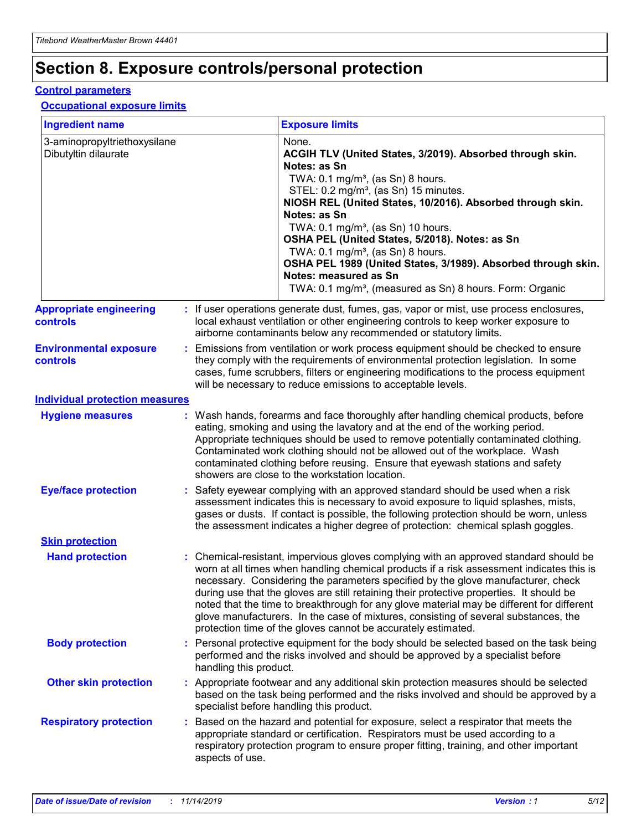## **Section 8. Exposure controls/personal protection**

#### **Control parameters**

### **Occupational exposure limits**

| <b>Ingredient name</b>                               |    |                        | <b>Exposure limits</b>                                                                                                                                                                                                                                                                                                                                                                                                                                                                                                                                                                                                 |
|------------------------------------------------------|----|------------------------|------------------------------------------------------------------------------------------------------------------------------------------------------------------------------------------------------------------------------------------------------------------------------------------------------------------------------------------------------------------------------------------------------------------------------------------------------------------------------------------------------------------------------------------------------------------------------------------------------------------------|
| 3-aminopropyltriethoxysilane<br>Dibutyltin dilaurate |    |                        | None.<br>ACGIH TLV (United States, 3/2019). Absorbed through skin.<br>Notes: as Sn<br>TWA: 0.1 mg/m <sup>3</sup> , (as Sn) 8 hours.<br>STEL: 0.2 mg/m <sup>3</sup> , (as Sn) 15 minutes.<br>NIOSH REL (United States, 10/2016). Absorbed through skin.<br>Notes: as Sn<br>TWA: 0.1 mg/m <sup>3</sup> , (as Sn) 10 hours.<br>OSHA PEL (United States, 5/2018). Notes: as Sn<br>TWA: $0.1 \text{ mg/m}^3$ , (as Sn) 8 hours.<br>OSHA PEL 1989 (United States, 3/1989). Absorbed through skin.<br>Notes: measured as Sn<br>TWA: 0.1 mg/m <sup>3</sup> , (measured as Sn) 8 hours. Form: Organic                           |
| <b>Appropriate engineering</b><br>controls           |    |                        | : If user operations generate dust, fumes, gas, vapor or mist, use process enclosures,<br>local exhaust ventilation or other engineering controls to keep worker exposure to<br>airborne contaminants below any recommended or statutory limits.                                                                                                                                                                                                                                                                                                                                                                       |
| <b>Environmental exposure</b><br><b>controls</b>     |    |                        | Emissions from ventilation or work process equipment should be checked to ensure<br>they comply with the requirements of environmental protection legislation. In some<br>cases, fume scrubbers, filters or engineering modifications to the process equipment<br>will be necessary to reduce emissions to acceptable levels.                                                                                                                                                                                                                                                                                          |
| <b>Individual protection measures</b>                |    |                        |                                                                                                                                                                                                                                                                                                                                                                                                                                                                                                                                                                                                                        |
| <b>Hygiene measures</b>                              |    |                        | : Wash hands, forearms and face thoroughly after handling chemical products, before<br>eating, smoking and using the lavatory and at the end of the working period.<br>Appropriate techniques should be used to remove potentially contaminated clothing.<br>Contaminated work clothing should not be allowed out of the workplace. Wash<br>contaminated clothing before reusing. Ensure that eyewash stations and safety<br>showers are close to the workstation location.                                                                                                                                            |
| <b>Eye/face protection</b>                           |    |                        | : Safety eyewear complying with an approved standard should be used when a risk<br>assessment indicates this is necessary to avoid exposure to liquid splashes, mists,<br>gases or dusts. If contact is possible, the following protection should be worn, unless<br>the assessment indicates a higher degree of protection: chemical splash goggles.                                                                                                                                                                                                                                                                  |
| <b>Skin protection</b>                               |    |                        |                                                                                                                                                                                                                                                                                                                                                                                                                                                                                                                                                                                                                        |
| <b>Hand protection</b>                               |    |                        | : Chemical-resistant, impervious gloves complying with an approved standard should be<br>worn at all times when handling chemical products if a risk assessment indicates this is<br>necessary. Considering the parameters specified by the glove manufacturer, check<br>during use that the gloves are still retaining their protective properties. It should be<br>noted that the time to breakthrough for any glove material may be different for different<br>glove manufacturers. In the case of mixtures, consisting of several substances, the<br>protection time of the gloves cannot be accurately estimated. |
| <b>Body protection</b>                               |    | handling this product. | Personal protective equipment for the body should be selected based on the task being<br>performed and the risks involved and should be approved by a specialist before                                                                                                                                                                                                                                                                                                                                                                                                                                                |
| <b>Other skin protection</b>                         |    |                        | : Appropriate footwear and any additional skin protection measures should be selected<br>based on the task being performed and the risks involved and should be approved by a<br>specialist before handling this product.                                                                                                                                                                                                                                                                                                                                                                                              |
| <b>Respiratory protection</b>                        | ÷. | aspects of use.        | Based on the hazard and potential for exposure, select a respirator that meets the<br>appropriate standard or certification. Respirators must be used according to a<br>respiratory protection program to ensure proper fitting, training, and other important                                                                                                                                                                                                                                                                                                                                                         |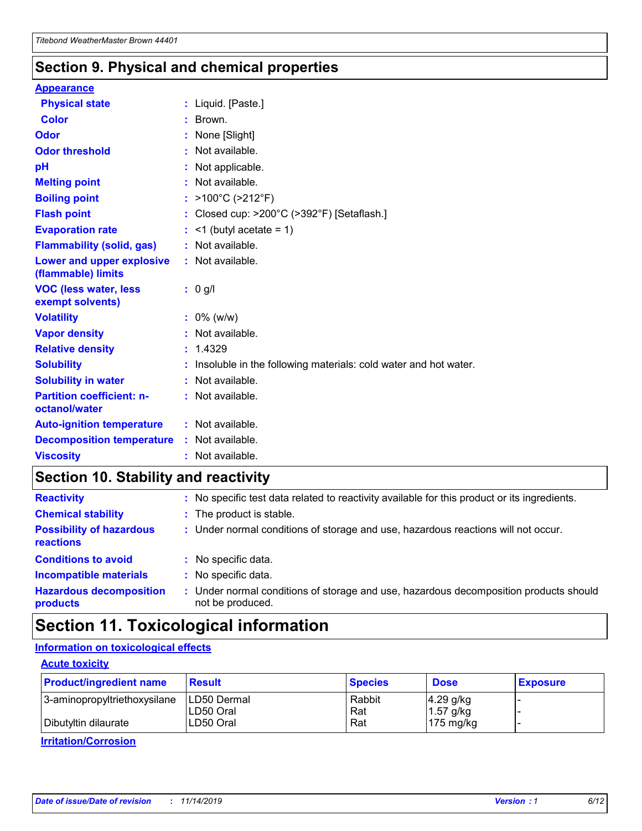### **Section 9. Physical and chemical properties**

#### **Appearance**

| <b>Physical state</b>                             | : Liquid. [Paste.]                                              |
|---------------------------------------------------|-----------------------------------------------------------------|
| <b>Color</b>                                      | : Brown.                                                        |
| Odor                                              | None [Slight]                                                   |
| <b>Odor threshold</b>                             | $:$ Not available.                                              |
| рH                                                | : Not applicable.                                               |
| <b>Melting point</b>                              | : Not available.                                                |
| <b>Boiling point</b>                              | : >100°C (>212°F)                                               |
| <b>Flash point</b>                                | : Closed cup: >200°C (>392°F) [Setaflash.]                      |
| <b>Evaporation rate</b>                           | $:$ <1 (butyl acetate = 1)                                      |
| <b>Flammability (solid, gas)</b>                  | : Not available.                                                |
| Lower and upper explosive<br>(flammable) limits   | : Not available.                                                |
| <b>VOC (less water, less</b>                      | $: 0$ g/l                                                       |
| exempt solvents)                                  |                                                                 |
| <b>Volatility</b>                                 | $: 0\%$ (w/w)                                                   |
| <b>Vapor density</b>                              | : Not available.                                                |
| <b>Relative density</b>                           | : 1.4329                                                        |
| <b>Solubility</b>                                 | Insoluble in the following materials: cold water and hot water. |
| <b>Solubility in water</b>                        | : Not available.                                                |
| <b>Partition coefficient: n-</b><br>octanol/water | $:$ Not available.                                              |
| <b>Auto-ignition temperature</b>                  | : Not available.                                                |
| <b>Decomposition temperature</b>                  | : Not available.                                                |

## **Section 10. Stability and reactivity**

| <b>Reactivity</b>                            | : No specific test data related to reactivity available for this product or its ingredients.            |
|----------------------------------------------|---------------------------------------------------------------------------------------------------------|
| <b>Chemical stability</b>                    | : The product is stable.                                                                                |
| <b>Possibility of hazardous</b><br>reactions | : Under normal conditions of storage and use, hazardous reactions will not occur.                       |
| <b>Conditions to avoid</b>                   | : No specific data.                                                                                     |
| <b>Incompatible materials</b>                | : No specific data.                                                                                     |
| <b>Hazardous decomposition</b><br>products   | Under normal conditions of storage and use, hazardous decomposition products should<br>not be produced. |

## **Section 11. Toxicological information**

### **Information on toxicological effects**

### **Acute toxicity**

| <b>Product/ingredient name</b> | <b>Result</b>           | <b>Species</b> | <b>Dose</b>                | <b>Exposure</b> |
|--------------------------------|-------------------------|----------------|----------------------------|-----------------|
| 3-aminopropyltriethoxysilane   | <b>ILD50 Dermal</b>     | Rabbit         | 4.29 g/kg                  |                 |
| Dibutyltin dilaurate           | ILD50 Oral<br>LD50 Oral | Rat<br>Rat     | $1.57$ g/kg<br>175 $mg/kg$ |                 |
|                                |                         |                |                            |                 |

**Irritation/Corrosion**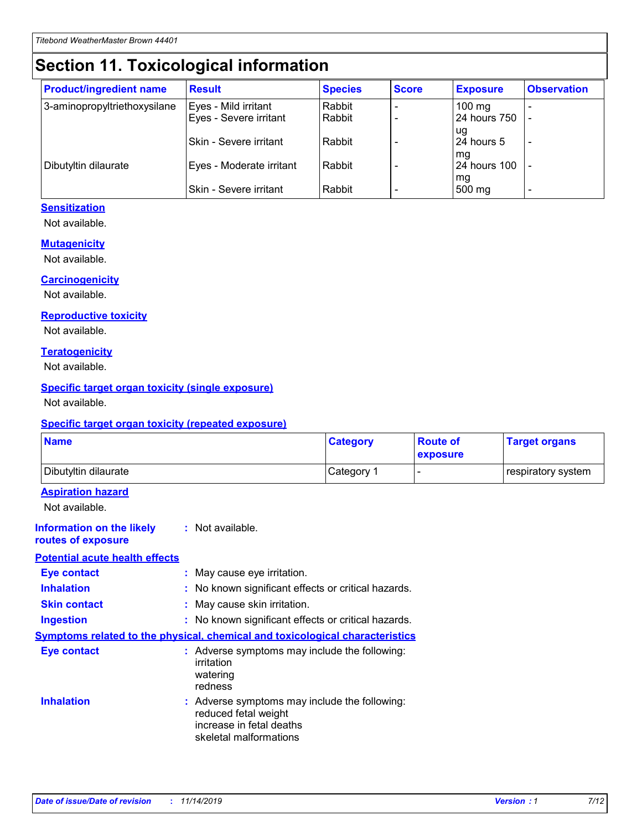## **Section 11. Toxicological information**

| <b>Product/ingredient name</b> | <b>Result</b>            | <b>Species</b> | <b>Score</b> | <b>Exposure</b>           | <b>Observation</b> |
|--------------------------------|--------------------------|----------------|--------------|---------------------------|--------------------|
| 3-aminopropyltriethoxysilane   | Eyes - Mild irritant     | Rabbit         |              | $100$ mg                  |                    |
|                                | Eyes - Severe irritant   | Rabbit         |              | 24 hours 750              |                    |
|                                |                          |                |              | ug                        |                    |
|                                | Skin - Severe irritant   | Rabbit         |              | 24 hours 5                | -                  |
| Dibutyltin dilaurate           | Eyes - Moderate irritant | Rabbit         |              | mq<br><b>24 hours 100</b> |                    |
|                                |                          |                |              | mg                        |                    |
|                                | Skin - Severe irritant   | Rabbit         |              | 500 mg                    |                    |

### **Sensitization**

Not available.

#### **Mutagenicity**

Not available.

#### **Carcinogenicity**

Not available.

#### **Reproductive toxicity**

Not available.

#### **Teratogenicity**

Not available.

#### **Specific target organ toxicity (single exposure)**

Not available.

#### **Specific target organ toxicity (repeated exposure)**

| <b>Name</b>                                                                  |                                                                            | <b>Category</b>                                     | <b>Route of</b><br>exposure | <b>Target organs</b> |
|------------------------------------------------------------------------------|----------------------------------------------------------------------------|-----------------------------------------------------|-----------------------------|----------------------|
| Dibutyltin dilaurate                                                         |                                                                            | Category 1                                          | -                           | respiratory system   |
| <b>Aspiration hazard</b><br>Not available.                                   |                                                                            |                                                     |                             |                      |
| <b>Information on the likely</b><br>routes of exposure                       | : Not available.                                                           |                                                     |                             |                      |
| <b>Potential acute health effects</b>                                        |                                                                            |                                                     |                             |                      |
| <b>Eye contact</b>                                                           | : May cause eye irritation.                                                |                                                     |                             |                      |
| <b>Inhalation</b>                                                            |                                                                            | : No known significant effects or critical hazards. |                             |                      |
| <b>Skin contact</b>                                                          | : May cause skin irritation.                                               |                                                     |                             |                      |
| <b>Ingestion</b>                                                             |                                                                            | : No known significant effects or critical hazards. |                             |                      |
| Symptoms related to the physical, chemical and toxicological characteristics |                                                                            |                                                     |                             |                      |
| <b>Eye contact</b>                                                           | irritation<br>watering<br>redness                                          | : Adverse symptoms may include the following:       |                             |                      |
| <b>Inhalation</b>                                                            | reduced fetal weight<br>increase in fetal deaths<br>skeletal malformations | : Adverse symptoms may include the following:       |                             |                      |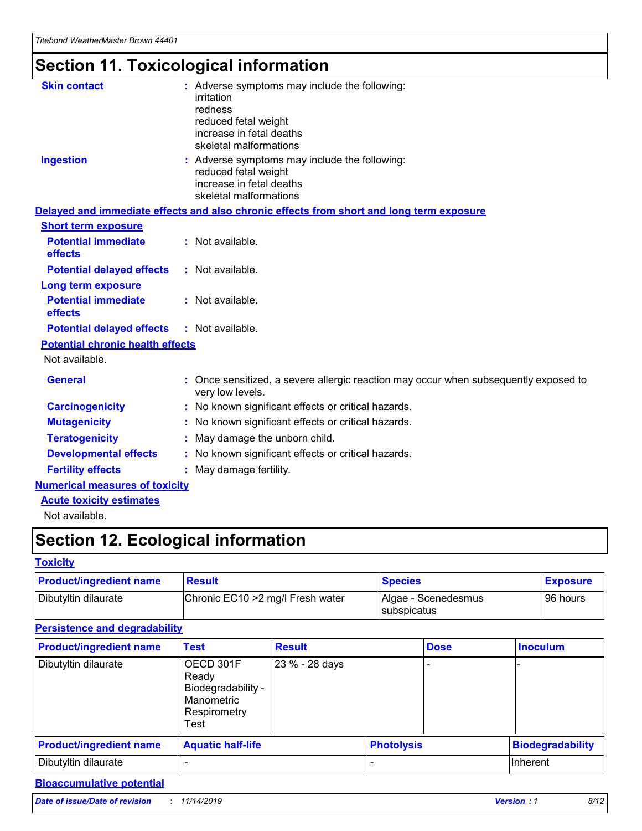# **Section 11. Toxicological information**

| <b>Skin contact</b>                     | : Adverse symptoms may include the following:<br>irritation<br>redness<br>reduced fetal weight<br>increase in fetal deaths<br>skeletal malformations |
|-----------------------------------------|------------------------------------------------------------------------------------------------------------------------------------------------------|
| <b>Ingestion</b>                        | : Adverse symptoms may include the following:<br>reduced fetal weight<br>increase in fetal deaths<br>skeletal malformations                          |
|                                         | Delayed and immediate effects and also chronic effects from short and long term exposure                                                             |
| <b>Short term exposure</b>              |                                                                                                                                                      |
| <b>Potential immediate</b><br>effects   | : Not available.                                                                                                                                     |
| <b>Potential delayed effects</b>        | : Not available.                                                                                                                                     |
| <b>Long term exposure</b>               |                                                                                                                                                      |
| <b>Potential immediate</b><br>effects   | : Not available.                                                                                                                                     |
| <b>Potential delayed effects</b>        | : Not available.                                                                                                                                     |
| <b>Potential chronic health effects</b> |                                                                                                                                                      |
| Not available.                          |                                                                                                                                                      |
| <b>General</b>                          | : Once sensitized, a severe allergic reaction may occur when subsequently exposed to<br>very low levels.                                             |
| <b>Carcinogenicity</b>                  | : No known significant effects or critical hazards.                                                                                                  |
| <b>Mutagenicity</b>                     | No known significant effects or critical hazards.                                                                                                    |
| <b>Teratogenicity</b>                   | May damage the unborn child.                                                                                                                         |
| <b>Developmental effects</b>            | No known significant effects or critical hazards.                                                                                                    |
| <b>Fertility effects</b>                | : May damage fertility.                                                                                                                              |
| <b>Numerical measures of toxicity</b>   |                                                                                                                                                      |
| <b>Acute toxicity estimates</b>         |                                                                                                                                                      |
|                                         |                                                                                                                                                      |

Not available.

## **Section 12. Ecological information**

### **Toxicity**

| <b>Product/ingredient name</b> | <b>Result</b>                     | <b>Species</b>                       | <b>Exposure</b> |
|--------------------------------|-----------------------------------|--------------------------------------|-----------------|
| Dibutyltin dilaurate           | Chronic EC10 > 2 mg/l Fresh water | Algae - Scenedesmus<br>I subspicatus | l 96 hours i    |

### **Persistence and degradability**

| <b>Product/ingredient name</b> | <b>Test</b>                                                                    | <b>Result</b>  |                   | <b>Dose</b> | <b>Inoculum</b>         |
|--------------------------------|--------------------------------------------------------------------------------|----------------|-------------------|-------------|-------------------------|
| Dibutyltin dilaurate           | OECD 301F<br>Ready<br>Biodegradability -<br>Manometric<br>Respirometry<br>Test | 23 % - 28 days |                   |             |                         |
| <b>Product/ingredient name</b> | <b>Aquatic half-life</b>                                                       |                | <b>Photolysis</b> |             | <b>Biodegradability</b> |
| Dibutyltin dilaurate           |                                                                                |                |                   |             | Inherent                |

### **Bioaccumulative potential**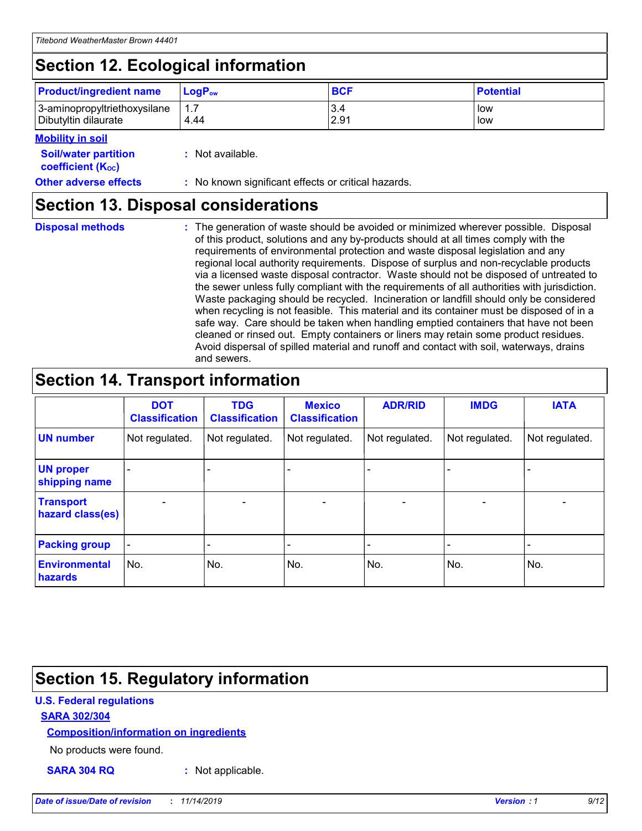## **Section 12. Ecological information**

| <b>Product/ingredient name</b> | $LoaPow$ | <b>BCF</b> | <b>Potential</b> |
|--------------------------------|----------|------------|------------------|
| 3-aminopropyltriethoxysilane   | 1.7      | 3.4        | low              |
| Dibutyltin dilaurate           | 4.44     | 2.91       | low              |

### **Mobility in soil**

| <i></i>                                                       |                                                     |
|---------------------------------------------------------------|-----------------------------------------------------|
| <b>Soil/water partition</b><br>coefficient (K <sub>oc</sub> ) | : Not available.                                    |
| <b>Other adverse effects</b>                                  | : No known significant effects or critical hazards. |

### **Section 13. Disposal considerations**

**Disposal methods :**

The generation of waste should be avoided or minimized wherever possible. Disposal of this product, solutions and any by-products should at all times comply with the requirements of environmental protection and waste disposal legislation and any regional local authority requirements. Dispose of surplus and non-recyclable products via a licensed waste disposal contractor. Waste should not be disposed of untreated to the sewer unless fully compliant with the requirements of all authorities with jurisdiction. Waste packaging should be recycled. Incineration or landfill should only be considered when recycling is not feasible. This material and its container must be disposed of in a safe way. Care should be taken when handling emptied containers that have not been cleaned or rinsed out. Empty containers or liners may retain some product residues. Avoid dispersal of spilled material and runoff and contact with soil, waterways, drains and sewers.

## **Section 14. Transport information**

|                                      | <b>DOT</b><br><b>Classification</b> | <b>TDG</b><br><b>Classification</b> | <b>Mexico</b><br><b>Classification</b> | <b>ADR/RID</b>           | <b>IMDG</b>              | <b>IATA</b>              |
|--------------------------------------|-------------------------------------|-------------------------------------|----------------------------------------|--------------------------|--------------------------|--------------------------|
| <b>UN number</b>                     | Not regulated.                      | Not regulated.                      | Not regulated.                         | Not regulated.           | Not regulated.           | Not regulated.           |
| <b>UN proper</b><br>shipping name    | $\qquad \qquad \blacksquare$        |                                     |                                        |                          |                          |                          |
| <b>Transport</b><br>hazard class(es) | $\blacksquare$                      | $\blacksquare$                      | $\blacksquare$                         | $\overline{\phantom{a}}$ | $\blacksquare$           | $\blacksquare$           |
| <b>Packing group</b>                 | $\overline{\phantom{a}}$            | $\overline{\phantom{0}}$            | $\overline{\phantom{0}}$               | -                        | $\overline{\phantom{0}}$ | $\overline{\phantom{a}}$ |
| <b>Environmental</b><br>hazards      | No.                                 | No.                                 | No.                                    | No.                      | No.                      | No.                      |

### **Section 15. Regulatory information**

### **U.S. Federal regulations**

### **SARA 302/304**

#### **Composition/information on ingredients**

No products were found.

**SARA 304 RQ :** Not applicable.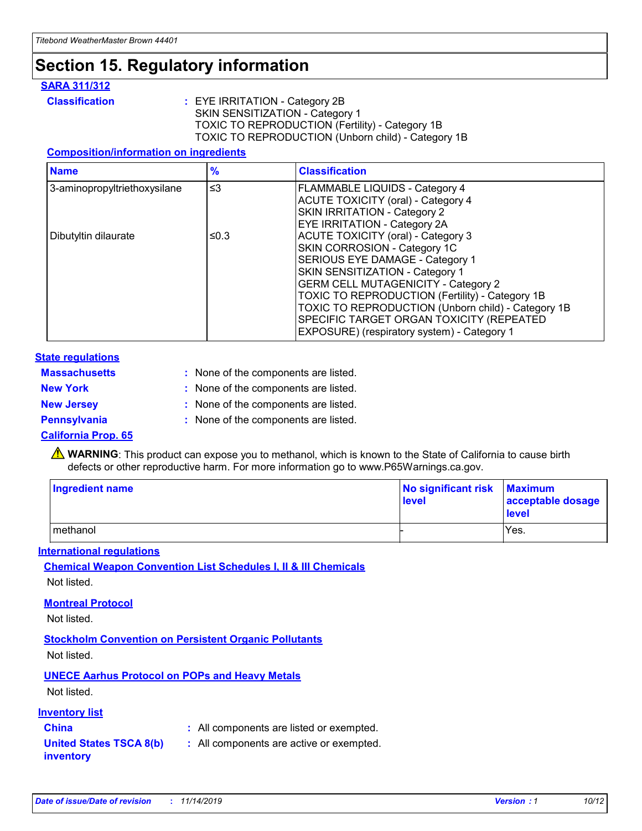## **Section 15. Regulatory information**

### **SARA 311/312**

**Classification :** EYE IRRITATION - Category 2B SKIN SENSITIZATION - Category 1 TOXIC TO REPRODUCTION (Fertility) - Category 1B TOXIC TO REPRODUCTION (Unborn child) - Category 1B

### **Composition/information on ingredients**

| <b>Name</b>                  | $\frac{9}{6}$ | <b>Classification</b>                                                                                            |
|------------------------------|---------------|------------------------------------------------------------------------------------------------------------------|
| 3-aminopropyltriethoxysilane | $\leq$ 3      | <b>FLAMMABLE LIQUIDS - Category 4</b><br><b>ACUTE TOXICITY (oral) - Category 4</b>                               |
|                              |               | SKIN IRRITATION - Category 2<br><b>EYE IRRITATION - Category 2A</b>                                              |
| Dibutyltin dilaurate         | ≤0.3          | ACUTE TOXICITY (oral) - Category 3<br>SKIN CORROSION - Category 1C                                               |
|                              |               | SERIOUS EYE DAMAGE - Category 1<br>SKIN SENSITIZATION - Category 1<br><b>GERM CELL MUTAGENICITY - Category 2</b> |
|                              |               | TOXIC TO REPRODUCTION (Fertility) - Category 1B<br>TOXIC TO REPRODUCTION (Unborn child) - Category 1B            |
|                              |               | SPECIFIC TARGET ORGAN TOXICITY (REPEATED<br>EXPOSURE) (respiratory system) - Category 1                          |

#### **State regulations**

| <b>Massachusetts</b> | : None of the components are listed. |
|----------------------|--------------------------------------|
| <b>New York</b>      | : None of the components are listed. |
| <b>New Jersey</b>    | : None of the components are listed. |
| <b>Pennsylvania</b>  | : None of the components are listed. |

#### **California Prop. 65**

**A** WARNING: This product can expose you to methanol, which is known to the State of California to cause birth defects or other reproductive harm. For more information go to www.P65Warnings.ca.gov.

| <b>Ingredient name</b> | No significant risk Maximum<br>level | acceptable dosage<br>level |
|------------------------|--------------------------------------|----------------------------|
| methanol               |                                      | Yes.                       |

#### **International regulations**

**Chemical Weapon Convention List Schedules I, II & III Chemicals** Not listed.

#### **Montreal Protocol**

Not listed.

**Stockholm Convention on Persistent Organic Pollutants**

Not listed.

### **UNECE Aarhus Protocol on POPs and Heavy Metals**

Not listed.

### **Inventory list**

### **China :** All components are listed or exempted.

**United States TSCA 8(b) inventory :** All components are active or exempted.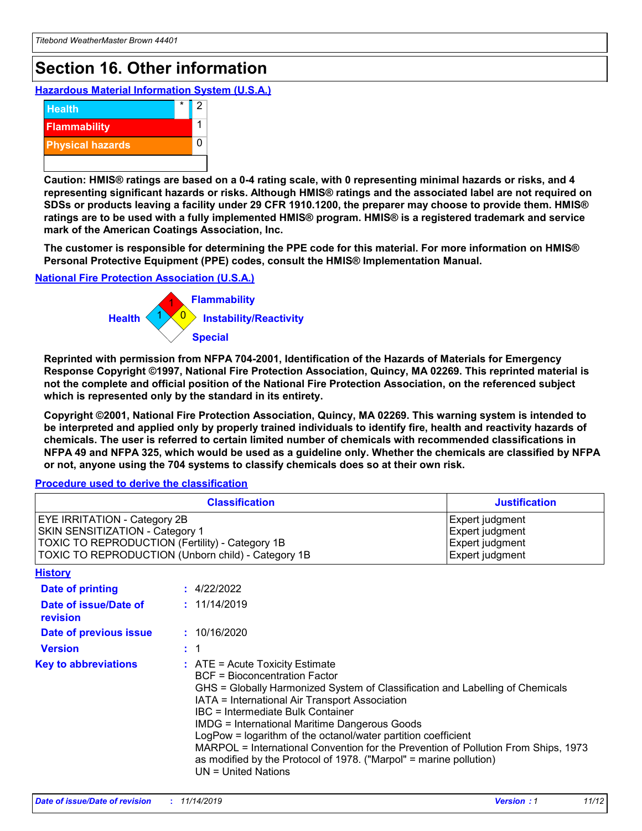## **Section 16. Other information**

**Hazardous Material Information System (U.S.A.)**



**Caution: HMIS® ratings are based on a 0-4 rating scale, with 0 representing minimal hazards or risks, and 4 representing significant hazards or risks. Although HMIS® ratings and the associated label are not required on SDSs or products leaving a facility under 29 CFR 1910.1200, the preparer may choose to provide them. HMIS® ratings are to be used with a fully implemented HMIS® program. HMIS® is a registered trademark and service mark of the American Coatings Association, Inc.**

**The customer is responsible for determining the PPE code for this material. For more information on HMIS® Personal Protective Equipment (PPE) codes, consult the HMIS® Implementation Manual.**

#### **National Fire Protection Association (U.S.A.)**



**Reprinted with permission from NFPA 704-2001, Identification of the Hazards of Materials for Emergency Response Copyright ©1997, National Fire Protection Association, Quincy, MA 02269. This reprinted material is not the complete and official position of the National Fire Protection Association, on the referenced subject which is represented only by the standard in its entirety.**

**Copyright ©2001, National Fire Protection Association, Quincy, MA 02269. This warning system is intended to be interpreted and applied only by properly trained individuals to identify fire, health and reactivity hazards of chemicals. The user is referred to certain limited number of chemicals with recommended classifications in NFPA 49 and NFPA 325, which would be used as a guideline only. Whether the chemicals are classified by NFPA or not, anyone using the 704 systems to classify chemicals does so at their own risk.**

**Procedure used to derive the classification**

| <b>Classification</b>                                                                                                                                                           |                                                                                                                                                                                                                                                                                                                                                                                                                                                                                                                                                                                 | <b>Justification</b>                                                     |  |
|---------------------------------------------------------------------------------------------------------------------------------------------------------------------------------|---------------------------------------------------------------------------------------------------------------------------------------------------------------------------------------------------------------------------------------------------------------------------------------------------------------------------------------------------------------------------------------------------------------------------------------------------------------------------------------------------------------------------------------------------------------------------------|--------------------------------------------------------------------------|--|
| <b>EYE IRRITATION - Category 2B</b><br>SKIN SENSITIZATION - Category 1<br>TOXIC TO REPRODUCTION (Fertility) - Category 1B<br>TOXIC TO REPRODUCTION (Unborn child) - Category 1B |                                                                                                                                                                                                                                                                                                                                                                                                                                                                                                                                                                                 | Expert judgment<br>Expert judgment<br>Expert judgment<br>Expert judgment |  |
| <b>History</b>                                                                                                                                                                  |                                                                                                                                                                                                                                                                                                                                                                                                                                                                                                                                                                                 |                                                                          |  |
| Date of printing                                                                                                                                                                | : 4/22/2022                                                                                                                                                                                                                                                                                                                                                                                                                                                                                                                                                                     |                                                                          |  |
| Date of issue/Date of<br>revision                                                                                                                                               | : 11/14/2019                                                                                                                                                                                                                                                                                                                                                                                                                                                                                                                                                                    |                                                                          |  |
| Date of previous issue                                                                                                                                                          | : 10/16/2020                                                                                                                                                                                                                                                                                                                                                                                                                                                                                                                                                                    |                                                                          |  |
| <b>Version</b>                                                                                                                                                                  | $\div$ 1                                                                                                                                                                                                                                                                                                                                                                                                                                                                                                                                                                        |                                                                          |  |
| <b>Key to abbreviations</b>                                                                                                                                                     | $\therefore$ ATE = Acute Toxicity Estimate<br><b>BCF</b> = Bioconcentration Factor<br>GHS = Globally Harmonized System of Classification and Labelling of Chemicals<br>IATA = International Air Transport Association<br><b>IBC</b> = Intermediate Bulk Container<br><b>IMDG = International Maritime Dangerous Goods</b><br>LogPow = logarithm of the octanol/water partition coefficient<br>MARPOL = International Convention for the Prevention of Pollution From Ships, 1973<br>as modified by the Protocol of 1978. ("Marpol" = marine pollution)<br>$UN = United Nations$ |                                                                          |  |